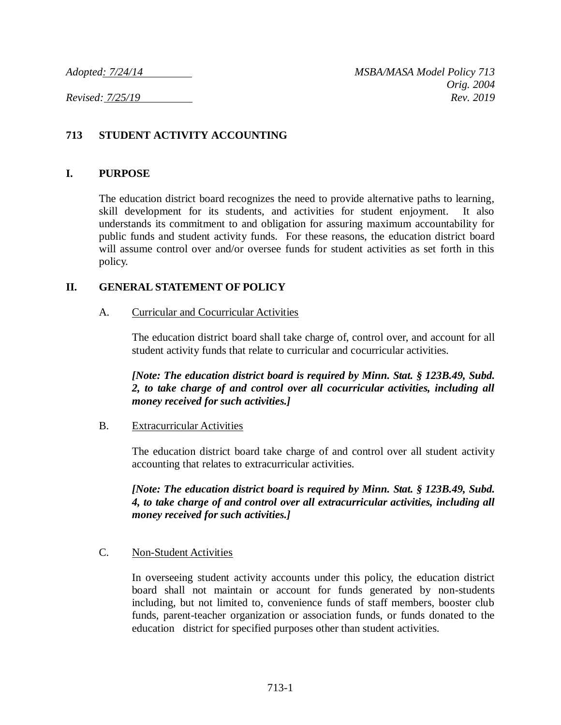# **713 STUDENT ACTIVITY ACCOUNTING**

### **I. PURPOSE**

The education district board recognizes the need to provide alternative paths to learning, skill development for its students, and activities for student enjoyment. It also understands its commitment to and obligation for assuring maximum accountability for public funds and student activity funds. For these reasons, the education district board will assume control over and/or oversee funds for student activities as set forth in this policy.

## **II. GENERAL STATEMENT OF POLICY**

### A. Curricular and Cocurricular Activities

The education district board shall take charge of, control over, and account for all student activity funds that relate to curricular and cocurricular activities.

*[Note: The education district board is required by Minn. Stat. § 123B.49, Subd. 2, to take charge of and control over all cocurricular activities, including all money received for such activities.]*

### B. Extracurricular Activities

The education district board take charge of and control over all student activity accounting that relates to extracurricular activities.

*[Note: The education district board is required by Minn. Stat. § 123B.49, Subd. 4, to take charge of and control over all extracurricular activities, including all money received for such activities.]*

### C. Non-Student Activities

In overseeing student activity accounts under this policy, the education district board shall not maintain or account for funds generated by non-students including, but not limited to, convenience funds of staff members, booster club funds, parent-teacher organization or association funds, or funds donated to the education district for specified purposes other than student activities.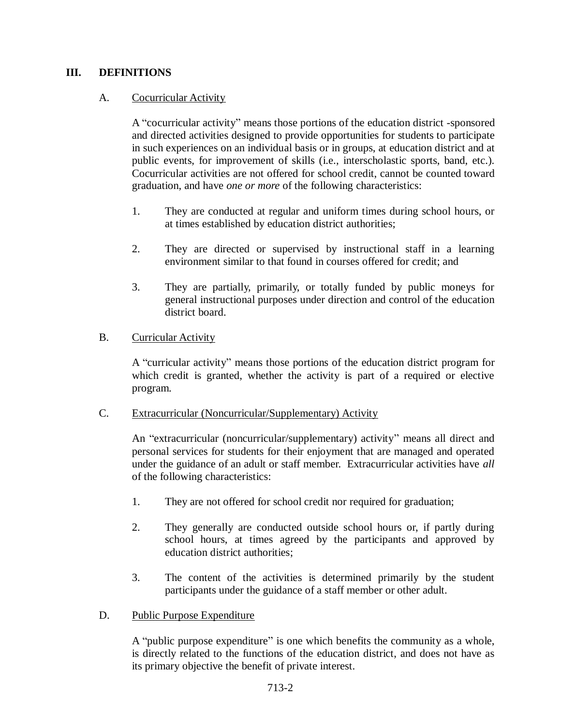## **III. DEFINITIONS**

## A. Cocurricular Activity

A "cocurricular activity" means those portions of the education district -sponsored and directed activities designed to provide opportunities for students to participate in such experiences on an individual basis or in groups, at education district and at public events, for improvement of skills (i.e., interscholastic sports, band, etc.). Cocurricular activities are not offered for school credit, cannot be counted toward graduation, and have *one or more* of the following characteristics:

- 1. They are conducted at regular and uniform times during school hours, or at times established by education district authorities;
- 2. They are directed or supervised by instructional staff in a learning environment similar to that found in courses offered for credit; and
- 3. They are partially, primarily, or totally funded by public moneys for general instructional purposes under direction and control of the education district board.

### B. Curricular Activity

A "curricular activity" means those portions of the education district program for which credit is granted, whether the activity is part of a required or elective program.

### C. Extracurricular (Noncurricular/Supplementary) Activity

An "extracurricular (noncurricular/supplementary) activity" means all direct and personal services for students for their enjoyment that are managed and operated under the guidance of an adult or staff member. Extracurricular activities have *all* of the following characteristics:

- 1. They are not offered for school credit nor required for graduation;
- 2. They generally are conducted outside school hours or, if partly during school hours, at times agreed by the participants and approved by education district authorities;
- 3. The content of the activities is determined primarily by the student participants under the guidance of a staff member or other adult.

### D. Public Purpose Expenditure

A "public purpose expenditure" is one which benefits the community as a whole, is directly related to the functions of the education district, and does not have as its primary objective the benefit of private interest.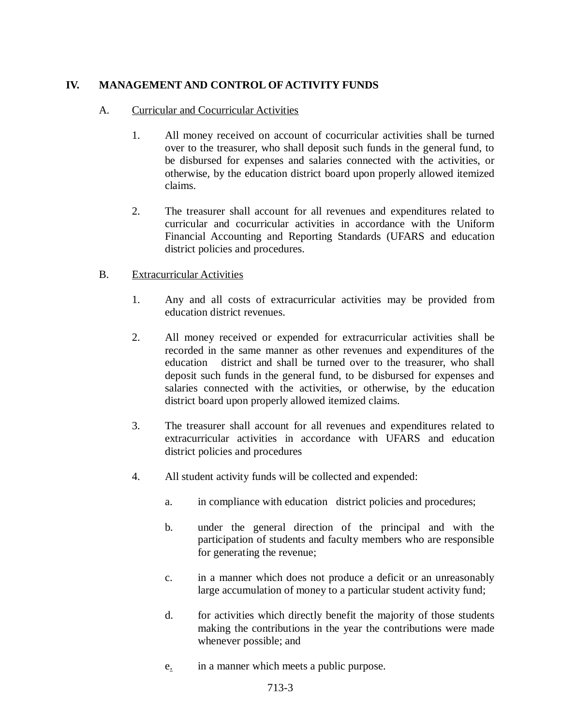# **IV. MANAGEMENT AND CONTROL OF ACTIVITY FUNDS**

### A. Curricular and Cocurricular Activities

- 1. All money received on account of cocurricular activities shall be turned over to the treasurer, who shall deposit such funds in the general fund, to be disbursed for expenses and salaries connected with the activities, or otherwise, by the education district board upon properly allowed itemized claims.
- 2. The treasurer shall account for all revenues and expenditures related to curricular and cocurricular activities in accordance with the Uniform Financial Accounting and Reporting Standards (UFARS and education district policies and procedures.

### B. Extracurricular Activities

- 1. Any and all costs of extracurricular activities may be provided from education district revenues.
- 2. All money received or expended for extracurricular activities shall be recorded in the same manner as other revenues and expenditures of the education district and shall be turned over to the treasurer, who shall deposit such funds in the general fund, to be disbursed for expenses and salaries connected with the activities, or otherwise, by the education district board upon properly allowed itemized claims.
- 3. The treasurer shall account for all revenues and expenditures related to extracurricular activities in accordance with UFARS and education district policies and procedures
- 4. All student activity funds will be collected and expended:
	- a. in compliance with education district policies and procedures;
	- b. under the general direction of the principal and with the participation of students and faculty members who are responsible for generating the revenue;
	- c. in a manner which does not produce a deficit or an unreasonably large accumulation of money to a particular student activity fund;
	- d. for activities which directly benefit the majority of those students making the contributions in the year the contributions were made whenever possible; and
	- e. in a manner which meets a public purpose.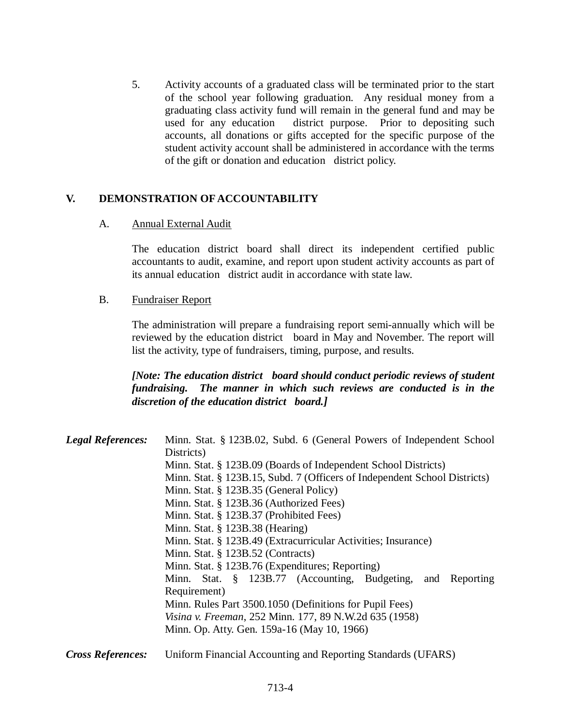5. Activity accounts of a graduated class will be terminated prior to the start of the school year following graduation. Any residual money from a graduating class activity fund will remain in the general fund and may be used for any education district purpose. Prior to depositing such accounts, all donations or gifts accepted for the specific purpose of the student activity account shall be administered in accordance with the terms of the gift or donation and education district policy.

## **V. DEMONSTRATION OF ACCOUNTABILITY**

#### A. Annual External Audit

The education district board shall direct its independent certified public accountants to audit, examine, and report upon student activity accounts as part of its annual education district audit in accordance with state law.

#### B. Fundraiser Report

The administration will prepare a fundraising report semi-annually which will be reviewed by the education district board in May and November. The report will list the activity, type of fundraisers, timing, purpose, and results.

*[Note: The education district board should conduct periodic reviews of student fundraising. The manner in which such reviews are conducted is in the discretion of the education district board.]*

| <b>Legal References:</b> | Minn. Stat. § 123B.02, Subd. 6 (General Powers of Independent School      |
|--------------------------|---------------------------------------------------------------------------|
|                          | Districts)                                                                |
|                          | Minn. Stat. § 123B.09 (Boards of Independent School Districts)            |
|                          | Minn. Stat. § 123B.15, Subd. 7 (Officers of Independent School Districts) |
|                          | Minn. Stat. § 123B.35 (General Policy)                                    |
|                          | Minn. Stat. § 123B.36 (Authorized Fees)                                   |
|                          | Minn. Stat. § 123B.37 (Prohibited Fees)                                   |
|                          | Minn. Stat. $\S$ 123B.38 (Hearing)                                        |
|                          | Minn. Stat. § 123B.49 (Extracurricular Activities; Insurance)             |
|                          | Minn. Stat. $\S$ 123B.52 (Contracts)                                      |
|                          | Minn. Stat. § 123B.76 (Expenditures; Reporting)                           |
|                          | Minn. Stat. § 123B.77 (Accounting, Budgeting, and Reporting               |
|                          | Requirement)                                                              |
|                          | Minn. Rules Part 3500.1050 (Definitions for Pupil Fees)                   |
|                          | Visina v. Freeman, 252 Minn. 177, 89 N.W.2d 635 (1958)                    |
|                          | Minn. Op. Atty. Gen. 159a-16 (May 10, 1966)                               |
|                          |                                                                           |

*Cross References:* Uniform Financial Accounting and Reporting Standards (UFARS)